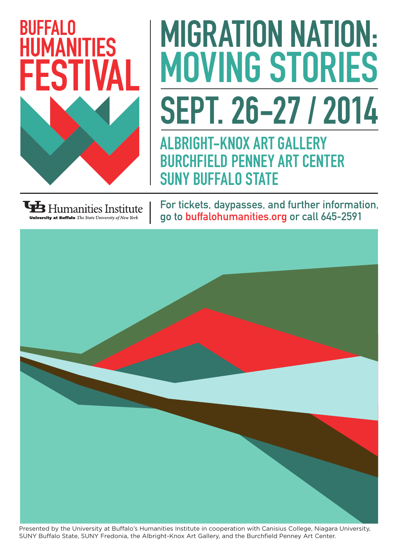

## MIGRATION NATION: MOVING STORIES SEPT. 26-27 / 2014

ALBRIGHT-KNOX ART GALLERY BURCHFIELD PENNEY ART CENTER SUNY BUFFALO STATE

 $\mathbf{\mathbf{\mathbf{\Psi}}}$  Humanities Institute

For tickets, daypasses, and further information, go to buffalohumanities.org or call 645-2591



Presented by the University at Buffalo's Humanities Institute in cooperation with Canisius College, Niagara University, SUNY Buffalo State, SUNY Fredonia, the Albright-Knox Art Gallery, and the Burchfield Penney Art Center.